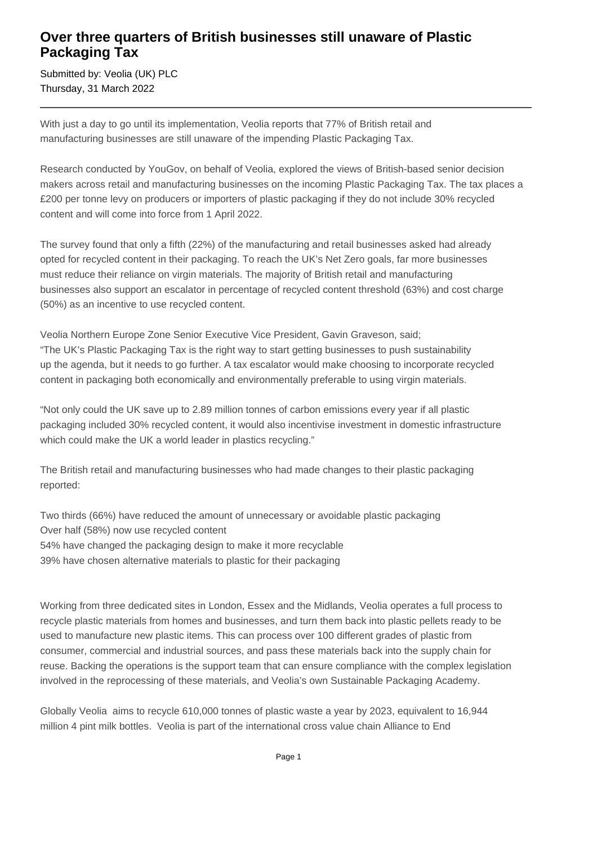# **Over three quarters of British businesses still unaware of Plastic Packaging Tax**

Submitted by: Veolia (UK) PLC Thursday, 31 March 2022

With just a day to go until its implementation, Veolia reports that 77% of British retail and manufacturing businesses are still unaware of the impending Plastic Packaging Tax.

Research conducted by YouGov, on behalf of Veolia, explored the views of British-based senior decision makers across retail and manufacturing businesses on the incoming Plastic Packaging Tax. The tax places a £200 per tonne levy on producers or importers of plastic packaging if they do not include 30% recycled content and will come into force from 1 April 2022.

The survey found that only a fifth (22%) of the manufacturing and retail businesses asked had already opted for recycled content in their packaging. To reach the UK's Net Zero goals, far more businesses must reduce their reliance on virgin materials. The majority of British retail and manufacturing businesses also support an escalator in percentage of recycled content threshold (63%) and cost charge (50%) as an incentive to use recycled content.

Veolia Northern Europe Zone Senior Executive Vice President, Gavin Graveson, said; "The UK's Plastic Packaging Tax is the right way to start getting businesses to push sustainability up the agenda, but it needs to go further. A tax escalator would make choosing to incorporate recycled content in packaging both economically and environmentally preferable to using virgin materials.

"Not only could the UK save up to 2.89 million tonnes of carbon emissions every year if all plastic packaging included 30% recycled content, it would also incentivise investment in domestic infrastructure which could make the UK a world leader in plastics recycling."

The British retail and manufacturing businesses who had made changes to their plastic packaging reported:

Two thirds (66%) have reduced the amount of unnecessary or avoidable plastic packaging Over half (58%) now use recycled content 54% have changed the packaging design to make it more recyclable 39% have chosen alternative materials to plastic for their packaging

Working from three dedicated sites in London, Essex and the Midlands, Veolia operates a full process to recycle plastic materials from homes and businesses, and turn them back into plastic pellets ready to be used to manufacture new plastic items. This can process over 100 different grades of plastic from consumer, commercial and industrial sources, and pass these materials back into the supply chain for reuse. Backing the operations is the support team that can ensure compliance with the complex legislation involved in the reprocessing of these materials, and Veolia's own Sustainable Packaging Academy.

Globally Veolia aims to recycle 610,000 tonnes of plastic waste a year by 2023, equivalent to 16,944 million 4 pint milk bottles. Veolia is part of the international cross value chain Alliance to End